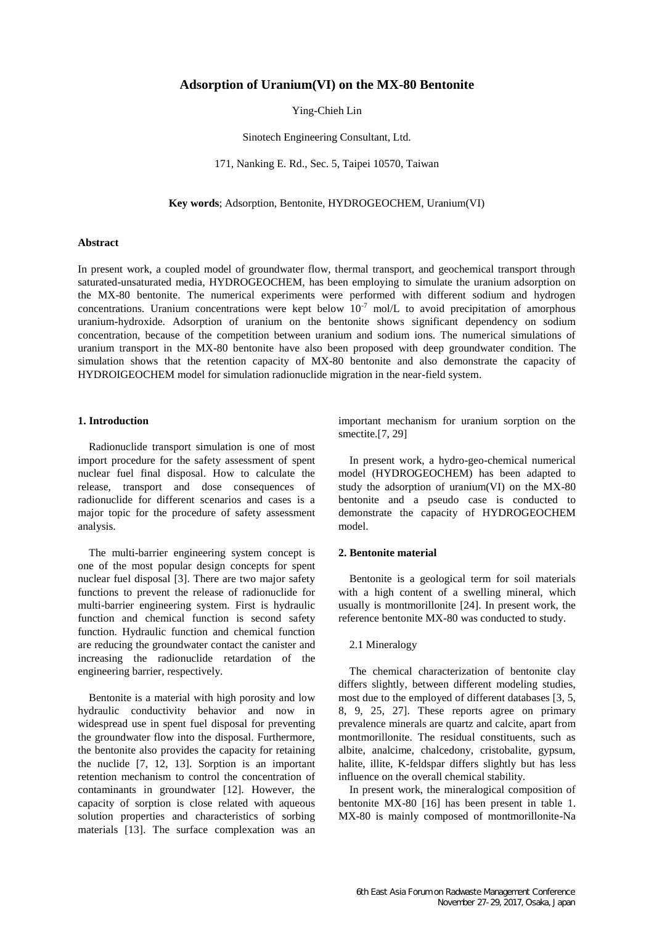# **Adsorption of Uranium(VI) on the MX-80 Bentonite**

Ying-Chieh Lin

Sinotech Engineering Consultant, Ltd.

171, Nanking E. Rd., Sec. 5, Taipei 10570, Taiwan

**Key words**; Adsorption, Bentonite, HYDROGEOCHEM, Uranium(VI)

#### **Abstract**

In present work, a coupled model of groundwater flow, thermal transport, and geochemical transport through saturated-unsaturated media, HYDROGEOCHEM, has been employing to simulate the uranium adsorption on the MX-80 bentonite. The numerical experiments were performed with different sodium and hydrogen concentrations. Uranium concentrations were kept below  $10^{-7}$  mol/L to avoid precipitation of amorphous uranium-hydroxide. Adsorption of uranium on the bentonite shows significant dependency on sodium concentration, because of the competition between uranium and sodium ions. The numerical simulations of uranium transport in the MX-80 bentonite have also been proposed with deep groundwater condition. The simulation shows that the retention capacity of MX-80 bentonite and also demonstrate the capacity of HYDROIGEOCHEM model for simulation radionuclide migration in the near-field system.

### **1. Introduction**

Radionuclide transport simulation is one of most import procedure for the safety assessment of spent nuclear fuel final disposal. How to calculate the release, transport and dose consequences of radionuclide for different scenarios and cases is a major topic for the procedure of safety assessment analysis.

The multi-barrier engineering system concept is one of the most popular design concepts for spent nuclear fuel disposal [3]. There are two major safety functions to prevent the release of radionuclide for multi-barrier engineering system. First is hydraulic function and chemical function is second safety function. Hydraulic function and chemical function are reducing the groundwater contact the canister and increasing the radionuclide retardation of the engineering barrier, respectively.

Bentonite is a material with high porosity and low hydraulic conductivity behavior and now in widespread use in spent fuel disposal for preventing the groundwater flow into the disposal. Furthermore, the bentonite also provides the capacity for retaining the nuclide [7, 12, 13]. Sorption is an important retention mechanism to control the concentration of contaminants in groundwater [12]. However, the capacity of sorption is close related with aqueous solution properties and characteristics of sorbing materials [13]. The surface complexation was an important mechanism for uranium sorption on the smectite.<sup>[7, 29]</sup>

In present work, a hydro-geo-chemical numerical model (HYDROGEOCHEM) has been adapted to study the adsorption of uranium(VI) on the MX-80 bentonite and a pseudo case is conducted to demonstrate the capacity of HYDROGEOCHEM model.

### **2. Bentonite material**

Bentonite is a geological term for soil materials with a high content of a swelling mineral, which usually is montmorillonite [24]. In present work, the reference bentonite MX-80 was conducted to study.

## 2.1 Mineralogy

The chemical characterization of bentonite clay differs slightly, between different modeling studies, most due to the employed of different databases [3, 5, 8, 9, 25, 27]. These reports agree on primary prevalence minerals are quartz and calcite, apart from montmorillonite. The residual constituents, such as albite, analcime, chalcedony, cristobalite, gypsum, halite, illite, K-feldspar differs slightly but has less influence on the overall chemical stability.

In present work, the mineralogical composition of bentonite MX-80 [16] has been present in table 1. MX-80 is mainly composed of montmorillonite-Na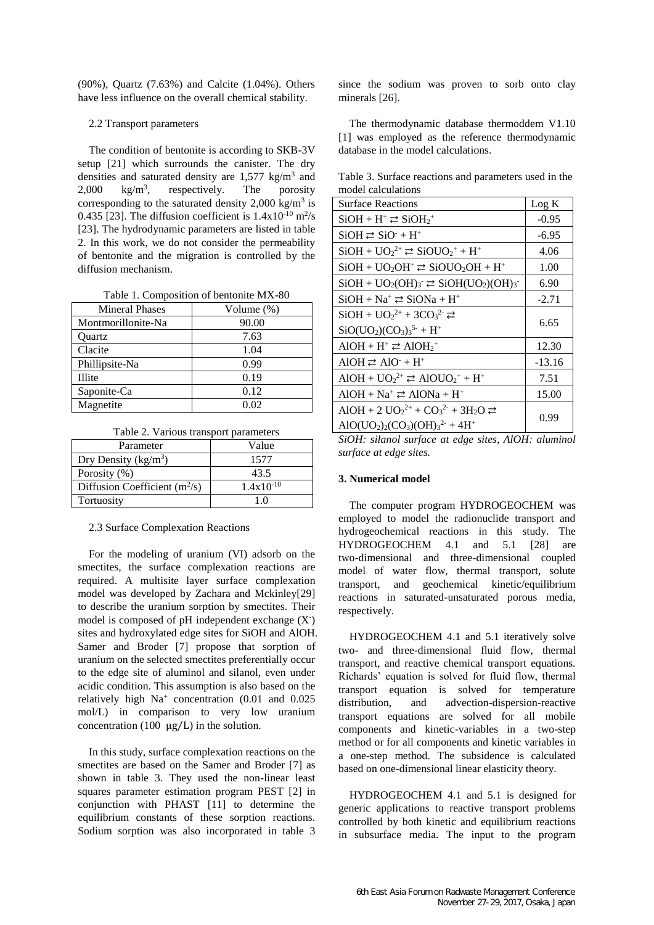(90%), Quartz (7.63%) and Calcite (1.04%). Others have less influence on the overall chemical stability.

### 2.2 Transport parameters

The condition of bentonite is according to SKB-3V setup [21] which surrounds the canister. The dry densities and saturated density are  $1,577 \text{ kg/m}^3$  and  $2,000 \text{ kg/m}^3$ , respectively. The porosity corresponding to the saturated density  $2,000 \text{ kg/m}^3$  is 0.435 [23]. The diffusion coefficient is  $1.4 \times 10^{-10}$  m<sup>2</sup>/s [23]. The hydrodynamic parameters are listed in table 2. In this work, we do not consider the permeability of bentonite and the migration is controlled by the diffusion mechanism.

|  | Table 1. Composition of bentonite MX-80 |  |  |
|--|-----------------------------------------|--|--|
|--|-----------------------------------------|--|--|

| <b>Mineral Phases</b> | Volume $(\%)$ |
|-----------------------|---------------|
| Montmorillonite-Na    | 90.00         |
| Ouartz                | 7.63          |
| Clacite               | 1.04          |
| Phillipsite-Na        | 0.99          |
| Illite                | 0.19          |
| Saponite-Ca           | 0.12          |
| Magnetite             | 0.02          |

Table 2. Various transport parameters

| Parameter                       | Value          |
|---------------------------------|----------------|
| Dry Density ( $kg/m3$ )         | 1577           |
| Porosity (%)                    | 43.5           |
| Diffusion Coefficient $(m^2/s)$ | $1.4x10^{-10}$ |
| Tortuosity                      |                |

#### 2.3 Surface Complexation Reactions

For the modeling of uranium (VI) adsorb on the smectites, the surface complexation reactions are required. A multisite layer surface complexation model was developed by Zachara and Mckinley[29] to describe the uranium sorption by smectites. Their model is composed of pH independent exchange (X<sup>-</sup>) sites and hydroxylated edge sites for SiOH and AlOH. Samer and Broder [7] propose that sorption of uranium on the selected smectites preferentially occur to the edge site of aluminol and silanol, even under acidic condition. This assumption is also based on the relatively high  $Na^+$  concentration (0.01 and 0.025 mol/L) in comparison to very low uranium concentration (100  $\mu$ g/L) in the solution.

In this study, surface complexation reactions on the smectites are based on the Samer and Broder [7] as shown in table 3. They used the non-linear least squares parameter estimation program PEST [2] in conjunction with PHAST [11] to determine the equilibrium constants of these sorption reactions. Sodium sorption was also incorporated in table 3 since the sodium was proven to sorb onto clay minerals [26].

The thermodynamic database thermoddem V1.10 [1] was employed as the reference thermodynamic database in the model calculations.

Table 3. Surface reactions and parameters used in the model calculations

| <b>Surface Reactions</b>                                                                               | Log K    |
|--------------------------------------------------------------------------------------------------------|----------|
| $SiOH + H^+ \rightleftarrows SiOH2+$                                                                   | $-0.95$  |
| $SiOH \rightleftarrows SiO^+ + H^+$                                                                    | $-6.95$  |
| $SiOH + UO22+ \rightleftarrows SiOUO2+ + H+$                                                           | 4.06     |
| $SiOH + UO2OH+ \rightleftarrows SiOUO2OH + H+$                                                         | 1.00     |
| $SiOH + UO2(OH)3 \rightleftharpoons SiOH(UO2)(OH)3$                                                    | 6.90     |
| $SiOH + Na^+ \rightleftharpoons SiONa + H^+$                                                           | $-2.71$  |
| $SiOH + UO22+ + 3CO32- \rightleftarrows$                                                               |          |
| $SiO(UO2)(CO3)35- + H+$                                                                                | 6.65     |
| $AIOH + H^+ \rightleftarrows AIOH_2^+$                                                                 | 12.30    |
| $AIOH \rightleftarrows AIO + H^+$                                                                      | $-13.16$ |
| AIOH + $UO_2^{2+} \rightleftarrows$ AIOU $O_2^+$ + H <sup>+</sup>                                      | 7.51     |
| $AIOH + Na^+ \rightleftarrows AIONa + H^+$                                                             | 15.00    |
| AIOH + 2 $UO_2^{2+}$ + $CO_3^{2-}$ + 3H <sub>2</sub> O $\rightleftarrows$                              |          |
| AlO(UO <sub>2</sub> ) <sub>2</sub> (CO <sub>3</sub> )(OH) <sub>3</sub> <sup>2-</sup> + 4H <sup>+</sup> | 0.99     |

*SiOH: silanol surface at edge sites, AlOH: aluminol surface at edge sites.*

### **3. Numerical model**

The computer program HYDROGEOCHEM was employed to model the radionuclide transport and hydrogeochemical reactions in this study. The HYDROGEOCHEM 4.1 and 5.1 [28] are two-dimensional and three-dimensional coupled model of water flow, thermal transport, solute transport, and geochemical kinetic/equilibrium reactions in saturated-unsaturated porous media, respectively.

HYDROGEOCHEM 4.1 and 5.1 iteratively solve two- and three-dimensional fluid flow, thermal transport, and reactive chemical transport equations. Richards' equation is solved for fluid flow, thermal transport equation is solved for temperature distribution, and advection-dispersion-reactive transport equations are solved for all mobile components and kinetic-variables in a two-step method or for all components and kinetic variables in a one-step method. The subsidence is calculated based on one-dimensional linear elasticity theory.

HYDROGEOCHEM 4.1 and 5.1 is designed for generic applications to reactive transport problems controlled by both kinetic and equilibrium reactions in subsurface media. The input to the program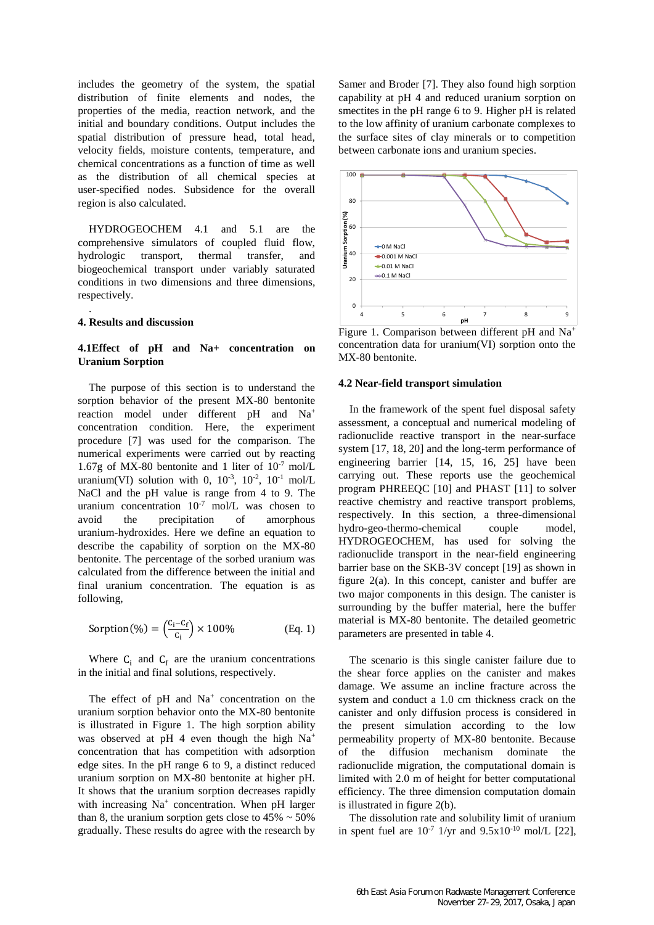includes the geometry of the system, the spatial distribution of finite elements and nodes, the properties of the media, reaction network, and the initial and boundary conditions. Output includes the spatial distribution of pressure head, total head, velocity fields, moisture contents, temperature, and chemical concentrations as a function of time as well as the distribution of all chemical species at user-specified nodes. Subsidence for the overall region is also calculated.

HYDROGEOCHEM 4.1 and 5.1 are the comprehensive simulators of coupled fluid flow, hydrologic transport, thermal transfer, and biogeochemical transport under variably saturated conditions in two dimensions and three dimensions, respectively.

## **4. Results and discussion**

.

## **4.1Effect of pH and Na+ concentration on Uranium Sorption**

The purpose of this section is to understand the sorption behavior of the present MX-80 bentonite reaction model under different pH and Na<sup>+</sup> concentration condition. Here, the experiment procedure [7] was used for the comparison. The numerical experiments were carried out by reacting 1.67g of MX-80 bentonite and 1 liter of  $10^{-7}$  mol/L uranium(VI) solution with 0,  $10^{-3}$ ,  $10^{-2}$ ,  $10^{-1}$  mol/L NaCl and the pH value is range from 4 to 9. The uranium concentration  $10^{-7}$  mol/L was chosen to avoid the precipitation of amorphous uranium-hydroxides. Here we define an equation to describe the capability of sorption on the MX-80 bentonite. The percentage of the sorbed uranium was calculated from the difference between the initial and final uranium concentration. The equation is as following,

$$
Sorption(\%) = \left(\frac{C_i - C_f}{C_i}\right) \times 100\% \tag{Eq. 1}
$$

Where  $C_i$  and  $C_f$  are the uranium concentrations in the initial and final solutions, respectively.

The effect of  $pH$  and  $Na<sup>+</sup>$  concentration on the uranium sorption behavior onto the MX-80 bentonite is illustrated in Figure 1. The high sorption ability was observed at pH 4 even though the high Na<sup>+</sup> concentration that has competition with adsorption edge sites. In the pH range 6 to 9, a distinct reduced uranium sorption on MX-80 bentonite at higher pH. It shows that the uranium sorption decreases rapidly with increasing Na<sup>+</sup> concentration. When pH larger than 8, the uranium sorption gets close to  $45\% \sim 50\%$ gradually. These results do agree with the research by

Samer and Broder [7]. They also found high sorption capability at pH 4 and reduced uranium sorption on smectites in the pH range 6 to 9. Higher pH is related to the low affinity of uranium carbonate complexes to the surface sites of clay minerals or to competition between carbonate ions and uranium species.



Figure 1. Comparison between different pH and Na<sup>+</sup> concentration data for uranium(VI) sorption onto the MX-80 bentonite.

### **4.2 Near-field transport simulation**

In the framework of the spent fuel disposal safety assessment, a conceptual and numerical modeling of radionuclide reactive transport in the near-surface system [17, 18, 20] and the long-term performance of engineering barrier [14, 15, 16, 25] have been carrying out. These reports use the geochemical program PHREEQC [10] and PHAST [11] to solver reactive chemistry and reactive transport problems, respectively. In this section, a three-dimensional hydro-geo-thermo-chemical couple model, HYDROGEOCHEM, has used for solving the radionuclide transport in the near-field engineering barrier base on the SKB-3V concept [19] as shown in figure 2(a). In this concept, canister and buffer are two major components in this design. The canister is surrounding by the buffer material, here the buffer material is MX-80 bentonite. The detailed geometric parameters are presented in table 4.

The scenario is this single canister failure due to the shear force applies on the canister and makes damage. We assume an incline fracture across the system and conduct a 1.0 cm thickness crack on the canister and only diffusion process is considered in the present simulation according to the low permeability property of MX-80 bentonite. Because of the diffusion mechanism dominate the radionuclide migration, the computational domain is limited with 2.0 m of height for better computational efficiency. The three dimension computation domain is illustrated in figure 2(b).

The dissolution rate and solubility limit of uranium in spent fuel are  $10^{-7}$  1/yr and  $9.5x10^{-10}$  mol/L [22],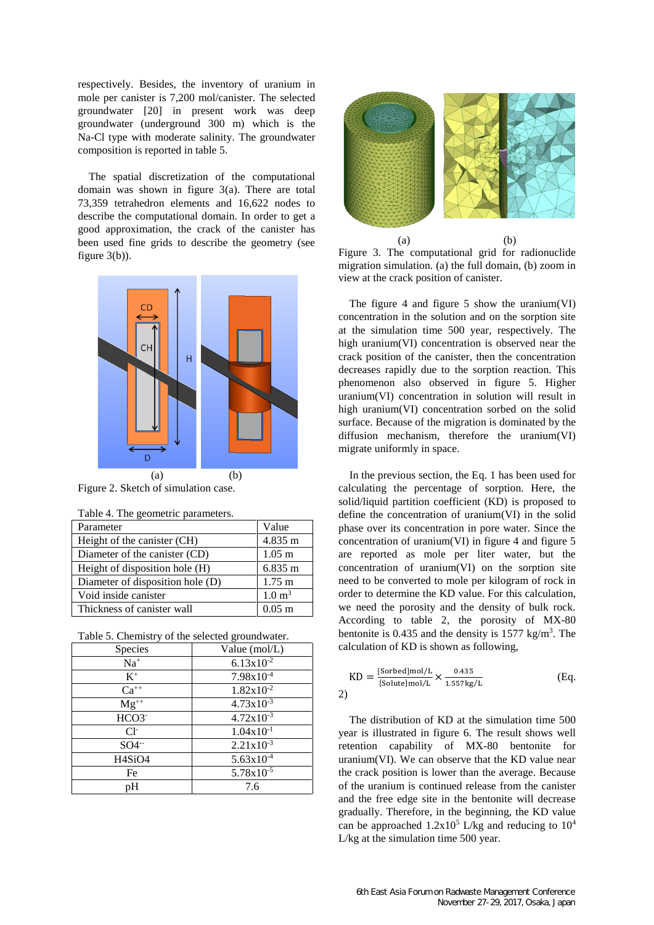respectively. Besides, the inventory of uranium in mole per canister is 7,200 mol/canister. The selected groundwater [20] in present work was deep groundwater (underground 300 m) which is the Na-Cl type with moderate salinity. The groundwater composition is reported in table 5.

The spatial discretization of the computational domain was shown in figure 3(a). There are total 73,359 tetrahedron elements and 16,622 nodes to describe the computational domain. In order to get a good approximation, the crack of the canister has been used fine grids to describe the geometry (see figure 3(b)).



Figure 2. Sketch of simulation case.

| raore r. The geometric parameters. |                   |  |
|------------------------------------|-------------------|--|
| Parameter                          | Value             |  |
| Height of the canister (CH)        | 4.835 m           |  |
| Diameter of the canister (CD)      | $1.05$ m          |  |
| Height of disposition hole (H)     | 6.835 m           |  |
| Diameter of disposition hole (D)   | $1.75 \text{ m}$  |  |
| Void inside canister               | $1.0 \text{ m}^3$ |  |
| Thickness of canister wall         | $0.05$ m          |  |

|  |  |  | Table 4. The geometric parameters. |
|--|--|--|------------------------------------|
|--|--|--|------------------------------------|

Table 5. Chemistry of the selected groundwater.

| Species                         | Value $(mol/L)$ |
|---------------------------------|-----------------|
| $Na+$                           | $6.13x10^{-2}$  |
| $K^+$                           | $7.98x10^{-4}$  |
| $Ca^{++}$                       | $1.82x10^{-2}$  |
| $\mathbf{M} \mathbf{g}^{++}$    | $4.73x10^{-3}$  |
| HCO3-                           | $4.72x10^{-3}$  |
| $Cl-$                           | $1.04x10^{-1}$  |
| $SO4^{-}$                       | $2.21x10^{-3}$  |
| H <sub>4</sub> SiO <sub>4</sub> | $5.63x10^{-4}$  |
| Fe                              | $5.78x10^{-5}$  |
| pН                              | 7.6             |



Figure 3. The computational grid for radionuclide migration simulation. (a) the full domain, (b) zoom in view at the crack position of canister.

The figure 4 and figure 5 show the uranium (VI) concentration in the solution and on the sorption site at the simulation time 500 year, respectively. The high uranium(VI) concentration is observed near the crack position of the canister, then the concentration decreases rapidly due to the sorption reaction. This phenomenon also observed in figure 5. Higher uranium(VI) concentration in solution will result in high uranium(VI) concentration sorbed on the solid surface. Because of the migration is dominated by the diffusion mechanism, therefore the uranium(VI) migrate uniformly in space.

In the previous section, the Eq. 1 has been used for calculating the percentage of sorption. Here, the solid/liquid partition coefficient (KD) is proposed to define the concentration of uranium(VI) in the solid phase over its concentration in pore water. Since the concentration of uranium(VI) in figure  $4$  and figure  $5$ are reported as mole per liter water, but the concentration of uranium(VI) on the sorption site need to be converted to mole per kilogram of rock in order to determine the KD value. For this calculation, we need the porosity and the density of bulk rock. According to table 2, the porosity of MX-80 bentonite is 0.435 and the density is  $1577 \text{ kg/m}^3$ . The calculation of KD is shown as following,

$$
KD = \frac{[Sorbed]mol/L}{[Solute]mol/L} \times \frac{0.435}{1.557 \text{kg/L}}
$$
(Eq. 2)

The distribution of KD at the simulation time 500 year is illustrated in figure 6. The result shows well retention capability of MX-80 bentonite for uranium(VI). We can observe that the KD value near the crack position is lower than the average. Because of the uranium is continued release from the canister and the free edge site in the bentonite will decrease gradually. Therefore, in the beginning, the KD value can be approached  $1.2x10^5$  L/kg and reducing to  $10^4$ L/kg at the simulation time 500 year.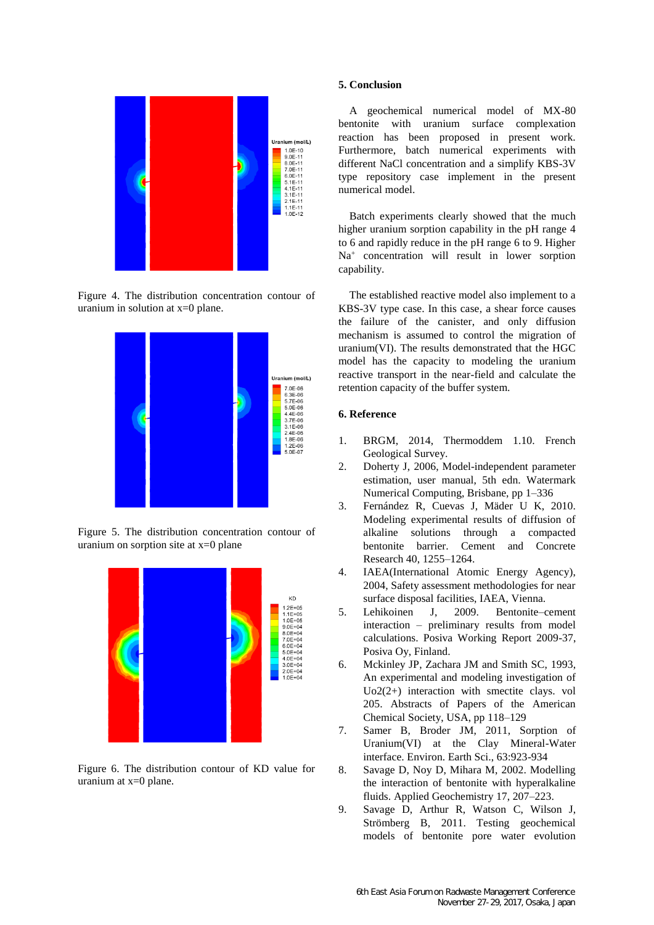

Figure 4. The distribution concentration contour of uranium in solution at x=0 plane.



Figure 5. The distribution concentration contour of uranium on sorption site at x=0 plane



Figure 6. The distribution contour of KD value for uranium at x=0 plane.

## **5. Conclusion**

A geochemical numerical model of MX-80 bentonite with uranium surface complexation reaction has been proposed in present work. Furthermore, batch numerical experiments with different NaCl concentration and a simplify KBS-3V type repository case implement in the present numerical model.

Batch experiments clearly showed that the much higher uranium sorption capability in the pH range 4 to 6 and rapidly reduce in the pH range 6 to 9. Higher Na<sup>+</sup> concentration will result in lower sorption capability.

The established reactive model also implement to a KBS-3V type case. In this case, a shear force causes the failure of the canister, and only diffusion mechanism is assumed to control the migration of uranium(VI). The results demonstrated that the HGC model has the capacity to modeling the uranium reactive transport in the near-field and calculate the retention capacity of the buffer system.

# **6. Reference**

- 1. BRGM, 2014, Thermoddem 1.10. French Geological Survey.
- 2. Doherty J, 2006, Model-independent parameter estimation, user manual, 5th edn. Watermark Numerical Computing, Brisbane, pp 1–336
- 3. Fernández R, Cuevas J, Mäder U K, 2010. Modeling experimental results of diffusion of alkaline solutions through a compacted bentonite barrier. Cement and Concrete Research 40, 1255–1264.
- 4. IAEA(International Atomic Energy Agency), 2004, Safety assessment methodologies for near surface disposal facilities, IAEA, Vienna.
- 5. Lehikoinen J, 2009. Bentonite–cement interaction – preliminary results from model calculations. Posiva Working Report 2009-37, Posiva Oy, Finland.
- 6. Mckinley JP, Zachara JM and Smith SC, 1993, An experimental and modeling investigation of Uo2(2+) interaction with smectite clays. vol 205. Abstracts of Papers of the American Chemical Society, USA, pp 118–129
- 7. Samer B, Broder JM, 2011, Sorption of Uranium(VI) at the Clay Mineral-Water interface. Environ. Earth Sci., 63:923-934
- 8. Savage D, Noy D, Mihara M, 2002. Modelling the interaction of bentonite with hyperalkaline fluids. Applied Geochemistry 17, 207–223.
- 9. Savage D, Arthur R, Watson C, Wilson J, Strömberg B, 2011. Testing geochemical models of bentonite pore water evolution